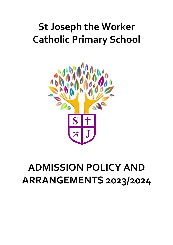# **St Joseph the Worker Catholic Primary School**



## **ADMISSION POLICY AND ARRANGEMENTS 2023/2024**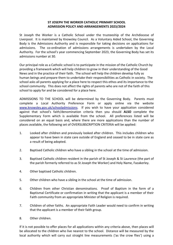### **ST JOSEPH THE WORKER CATHOLIC PRIMARY SCHOOL ADMISSION POLICY AND ARRANGEMENTS 2023/2024**

St Joseph the Worker is a Catholic School under the trusteeship of the Archdiocese of Liverpool. It is maintained by Knowsley Council. As a Voluntary Aided School, the Governing Body is the Admissions Authority and is responsible for taking decisions on applications for admissions. The co-ordination of admissions arrangements is undertaken by the Local Authority. For the school's year commencing September 2023, the Governing Body has set its admissions number at 30.

Our principal role as a Catholic school is to participate in the mission of the Catholic Church by providing a framework which will help children to grow in their understanding of the Good News and in the practice of their faith. The school will help the children develop fully as human beings and prepare them to undertake their responsibilities as Catholic in society. The school asks all parents applying for a place here to respect this ethos and its importance to the school community. This does not affect the rights of parents who are not of the faith of this school to apply for and be considered for a place here.

ADMISSIONS TO THE SCHOOL will be determined by the Governing Body. Parents must complete a Local Authority Preference Form or apply online via the website [www.knowsley.gov.uk/schooladmissions.](http://www.knowsley.gov.uk/schooladmissions) If you wish to have your application considered against that school's faith/denomination criteria then you should **ALSO** complete the Supplementary Form which is available from the school. All preferences listed will be considered on an equal basis and, where there are more applications than the number of places available, the following set of OVERSUBSCRIPTION CRITERIA will be applied:

- 1. Looked after children and previously looked after children. This includes children who appear to have been in state care outside of England and ceased to be in state care as a result of being adopted.
- 2. Baptised Catholic children who have a sibling in the school at the time of admission.
- 3. Baptised Catholic children resident in the parish of St Joseph & St Laurence (the part of the parish formerly referred to as St Joseph the Worker) and Holy Name, Fazakerley.
- 4. Other baptised Catholic children.
- 5. Other children who have a sibling in the school at the time of admission.
- 6. Children from other Christian denominations. Proof of Baptism in the form of a Baptismal Certificate or confirmation in writing that the applicant is a member of their Faith community from an appropriate Minister of Religion is required.
- 7. Children of other faiths. An appropriate Faith Leader would need to confirm in writing that the applicant is a member of their faith group.
- 8. Other children.

If it is not possible to offer places for all applications within any criteria above, then places will be allocated to the children who live nearest to the school. Distance will be measured by the local authority which will carry out straight line measurements ('as the crow flies') using a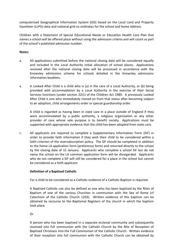computerised Geographical Information System (GIS) based on the Local Land and Property Gazetteer (LLPG) data and national grid co-ordinates for the school and home address.

Children with a Statement of Special Educational Needs or Education Health Care Plan that names a school will be offered place without using the admission criteria and will count as part of the school's published admission number.

#### **Notes:**

- a. All applications submitted before the national closing date will be considered equally and included in the Local Authority initial allocation of school places. Applications received after the national closing date will be processed in accordance with the Knowsley admissions scheme for schools detailed in the Knowsley admissions information booklets.
- a. A Looked After Child is a child who is (a) in the care of a Local Authority, or (b) being provided with accommodation by a Local Authority in the exercise of their Social Services functions (under section 22(1) of the Children Act 1989. A previously Looked After Child is one who immediately moved on from that status after becoming subject to an adoption, child arrangements order or special guardianship order.

A child is regarded as having been in state care in a place outside of England if they were accommodated by a public authority, a religious organisation or any other provider of care whose sole purpose is to benefit society. Applications must be supported with appropriate evidence that the child has been adopted from state care.

c. All applicants are required to complete a Supplementary Information Form (SIF) in order to provide faith information if they wish their child to be considered within a faith criterion of the oversubscription policy. The SIF should be completed in addition to the home LA application form (preference form) and returned directly to the school by the closing date of 15 January. Applicants who complete a school SIF but do not name the school on the LA common application form will be disregarded. Applicants who do not complete a SIF will still be considered for a place in the school but cannot be considered as a faith applicant.

### **Definition of a Baptised Catholic**

For a child to be considered as a Catholic evidence of a Catholic Baptism is required.

A Baptised Catholic can also be defined as one who has been baptised by the Rites of Baptism of one of the various Churches in communion with the See of Rome (cf Catechism of the Catholic Church 1203). Written evidence of this baptism can be obtained by recourse to the Baptismal Registers of the church in which the baptism took place.

Or

A person who has been baptised in a separate ecclesial community and subsequently received into full communion with the Catholic Church by the Rite of Reception of Baptised Christians into the Full Communion of the Catholic Church. Written evidence of their reception into full communion with the Catholic Church can be obtained by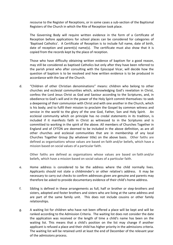recourse to the Register of Receptions, or in some cases a sub-section of the Baptismal Registers of the Church in which the Rite of Reception took place.

The Governing Body will require written evidence in the form of a Certificate of Reception before applications for school places can be considered for categories of 'Baptised Catholics'. A Certificate of Reception is to include full name, date of birth, date of reception and parent(s) name(s). The certificate must also show that it is copied from the records kept by the place of reception.

Those who have difficulty obtaining written evidence of baptism for a good reason, may still be considered as baptised Catholics but only after they have been referred to the parish priest who after consulting with the Episcopal Vicar, will decide how the question of baptism is to be resolved and how written evidence is to be produced in accordance with the law of the Church.

d. "Children of other Christian denominations" means: children who belong to other churches and ecclesial communities which, acknowledging God's revelation in Christ, confess the Lord Jesus Christ as God and Saviour according to the Scriptures, and, in obedience to God's will and in the power of the Holy Spirit commit themselves: to seek a deepening of their communion with Christ and with one another in the Church, which is his body; and to fulfil their mission to proclaim the Gospel by common witness and service in the world to the glory of the one God, Father, Son and Holy Spirit. An ecclesial community which on principle has no credal statements in its tradition, is included if it manifests faith in Christ as witnessed to in the Scriptures and is committed to working in the spirit of the above. All members of Churches Together in England and of CYTÛN are deemed to be included in the above definition, as are all other churches and ecclesial communities that are in membership of any local Churches Together Group (by whatever title) on the above basis. Other faiths are defined as organisations whose values are based on faith and/or beliefs, which have a mission based on social values of a particular faith.

Other faiths are defined as organisations whose values are based on faith and/or beliefs, which have a mission based on social values of a particular faith.

- e. Home address is considered to be the address where the child normally lives. Applicants should not state a childminder's or other relative's address. It may be necessary to carry out checks to confirm addresses given are genuine and parents may therefore be asked to provide documentary evidence of their child's home address.
- f. Sibling is defined in these arrangements as full, half or brother or step-brothers and sisters, adopted and foster brothers and sisters who are living at the same address and are part of the same family unit. This does not include cousins or other family relationships.
- g. A waiting list for children who have not been offered a place will be kept and will be ranked according to the Admission Criteria. The waiting list does not consider the date the application was received or the length of time a child's name has been on the waiting list. This means that a child's position on the list may change if another applicant is refused a place and their child has higher priority in the admissions criteria. The waiting list will be retained until at least the end of December of the relevant year of the admissions process.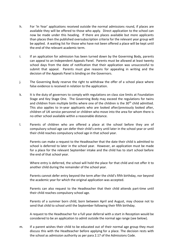- h. For 'In Year' applications received outside the normal admissions round, if places are available they will be offered to those who apply. Direct application to the school can now be made under this heading. If there are places available but more applicants than places then the published oversubscription criteria for the relevant year group will be applied. A waiting list for those who have not been offered a place will be kept until the end of the relevant academic term.
- i. If an application for admission has been turned down by the Governing Body, parents can appeal to an Independent Appeals Panel. Parents must be allowed at least twenty school days from the date of notification that their application was unsuccessful to submit that appeal. Parents must give reasons for appealing in writing and the decision of the Appeals Panel is binding on the Governors.
- j. The Governing Body reserve the right to withdraw the offer of a school place where false evidence is received in relation to the application.
- k. It is the duty of governors to comply with regulations on class size limits at Foundation Stage and Key Stage One. The Governing Body may exceed the regulations for twins and children from multiple births where one of the children is the  $30<sup>th</sup>$  child admitted. This also applies to in-year applicants who are looked after/previously looked after, children of UK service personnel or children who move into the area for whom there is no other school available within a reasonable distance.
- l. Parents of children who are offered a place at the school before they are of compulsory school age can defer their child's entry until later in the school year or until their child reaches compulsory school age in that school year.

Parents can make a request to the Headteacher that the date their child is admitted to school is deferred to later in the school year. However, an application must be made for a place for the relevant September intake and the child has to start school before the end of that school year.

Where entry is deferred, the school will hold the place for that child and not offer it to another child during the remainder of the school year.

Parents cannot defer entry beyond the term after the child's fifth birthday, nor beyond the academic year for which the original application was accepted.

Parents can also request to the Headteacher that their child attends part-time until their child reaches compulsory school age.

Parents of a summer born child, born between April and August, may choose not to send that child to school until the September following their fifth birthday.

A request to the Headteacher for a full year deferral with a start in Reception would be considered to be an application to admit outside the normal age range (see below).

m. If a parent wishes their child to be educated out of their normal age group they must discuss this with the Headteacher before applying for a place. The decision rests with the school as admission authority as per para 2.17 of the Admissions Code.